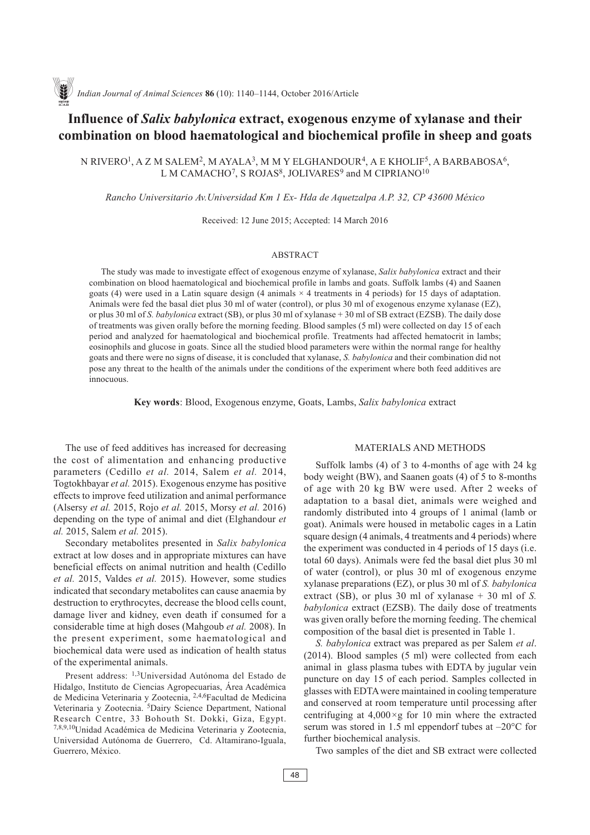# **Influence of** *Salix babylonica* **extract, exogenous enzyme of xylanase and their combination on blood haematological and biochemical profile in sheep and goats**

N RIVERO1, A Z M SALEM2, M AYALA3, M M Y ELGHANDOUR4, A E KHOLIF5, A BARBABOSA6, L M CAMACHO<sup>7</sup>, S ROJAS<sup>8</sup>, JOLIVARES<sup>9</sup> and M CIPRIANO<sup>10</sup>

*Rancho Universitario Av.Universidad Km 1 Ex- Hda de Aquetzalpa A.P. 32, CP 43600 México*

Received: 12 June 2015; Accepted: 14 March 2016

#### ABSTRACT

The study was made to investigate effect of exogenous enzyme of xylanase, *Salix babylonica* extract and their combination on blood haematological and biochemical profile in lambs and goats. Suffolk lambs (4) and Saanen goats (4) were used in a Latin square design (4 animals  $\times$  4 treatments in 4 periods) for 15 days of adaptation. Animals were fed the basal diet plus 30 ml of water (control), or plus 30 ml of exogenous enzyme xylanase (EZ), or plus 30 ml of *S. babylonica* extract (SB), or plus 30 ml of xylanase + 30 ml of SB extract (EZSB). The daily dose of treatments was given orally before the morning feeding. Blood samples (5 ml) were collected on day 15 of each period and analyzed for haematological and biochemical profile. Treatments had affected hematocrit in lambs; eosinophils and glucose in goats. Since all the studied blood parameters were within the normal range for healthy goats and there were no signs of disease, it is concluded that xylanase, *S. babylonica* and their combination did not pose any threat to the health of the animals under the conditions of the experiment where both feed additives are innocuous.

**Key words**: Blood, Exogenous enzyme, Goats, Lambs, *Salix babylonica* extract

The use of feed additives has increased for decreasing the cost of alimentation and enhancing productive parameters (Cedillo *et al.* 2014, Salem *et al.* 2014, Togtokhbayar *et al.* 2015). Exogenous enzyme has positive effects to improve feed utilization and animal performance (Alsersy *et al.* 2015, Rojo *et al.* 2015, Morsy *et al.* 2016) depending on the type of animal and diet (Elghandour *et al.* 2015, Salem *et al.* 2015).

Secondary metabolites presented in *Salix babylonica* extract at low doses and in appropriate mixtures can have beneficial effects on animal nutrition and health (Cedillo *et al.* 2015, Valdes *et al.* 2015). However, some studies indicated that secondary metabolites can cause anaemia by destruction to erythrocytes, decrease the blood cells count, damage liver and kidney, even death if consumed for a considerable time at high doses (Mahgoub *et al.* 2008). In the present experiment, some haematological and biochemical data were used as indication of health status of the experimental animals.

Present address: 1,3Universidad Autónoma del Estado de Hidalgo, Instituto de Ciencias Agropecuarias, Área Académica de Medicina Veterinaria y Zootecnia, 2,4,6Facultad de Medicina Veterinaria y Zootecnia. 5Dairy Science Department, National Research Centre, 33 Bohouth St. Dokki, Giza, Egypt. 7,8,9,10Unidad Académica de Medicina Veterinaria y Zootecnia, Universidad Autónoma de Guerrero, Cd. Altamirano-Iguala, Guerrero, México.

# MATERIALS AND METHODS

Suffolk lambs (4) of 3 to 4-months of age with 24 kg body weight (BW), and Saanen goats (4) of 5 to 8-months of age with 20 kg BW were used. After 2 weeks of adaptation to a basal diet, animals were weighed and randomly distributed into 4 groups of 1 animal (lamb or goat). Animals were housed in metabolic cages in a Latin square design (4 animals, 4 treatments and 4 periods) where the experiment was conducted in 4 periods of 15 days (i.e. total 60 days). Animals were fed the basal diet plus 30 ml of water (control), or plus 30 ml of exogenous enzyme xylanase preparations (EZ), or plus 30 ml of *S. babylonica* extract (SB), or plus 30 ml of xylanase + 30 ml of *S. babylonica* extract (EZSB). The daily dose of treatments was given orally before the morning feeding. The chemical composition of the basal diet is presented in Table 1.

*S. babylonica* extract was prepared as per Salem *et al*. (2014). Blood samples (5 ml) were collected from each animal in glass plasma tubes with EDTA by jugular vein puncture on day 15 of each period. Samples collected in glasses with EDTA were maintained in cooling temperature and conserved at room temperature until processing after centrifuging at 4,000*×*g for 10 min where the extracted serum was stored in 1.5 ml eppendorf tubes at –20°C for further biochemical analysis.

Two samples of the diet and SB extract were collected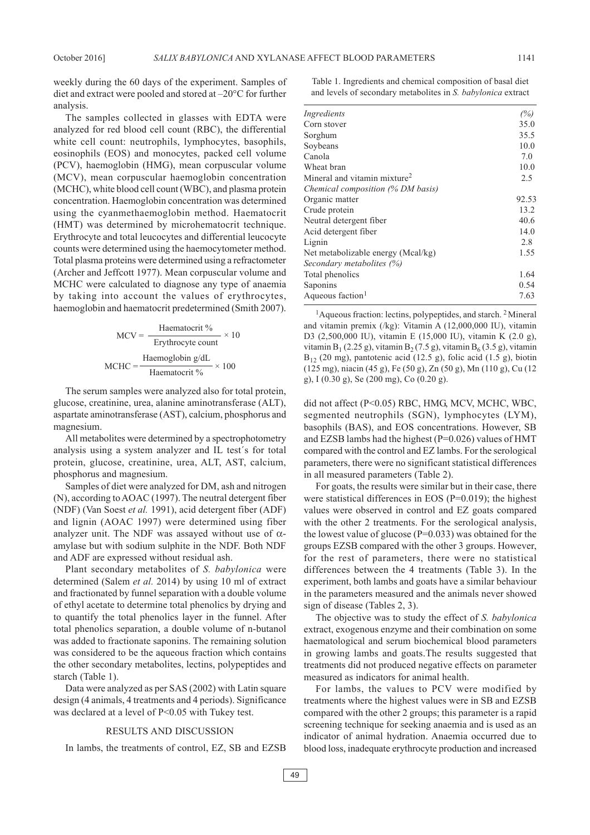weekly during the 60 days of the experiment. Samples of

diet and extract were pooled and stored at –20°C for further analysis. The samples collected in glasses with EDTA were analyzed for red blood cell count (RBC), the differential white cell count: neutrophils, lymphocytes, basophils,

eosinophils (EOS) and monocytes, packed cell volume (PCV), haemoglobin (HMG), mean corpuscular volume (MCV), mean corpuscular haemoglobin concentration (MCHC), white blood cell count (WBC), and plasma protein concentration. Haemoglobin concentration was determined using the cyanmethaemoglobin method. Haematocrit (HMT) was determined by microhematocrit technique. Erythrocyte and total leucocytes and differential leucocyte counts were determined using the haemocytometer method. Total plasma proteins were determined using a refractometer (Archer and Jeffcott 1977). Mean corpuscular volume and MCHC were calculated to diagnose any type of anaemia by taking into account the values of erythrocytes, haemoglobin and haematocrit predetermined (Smith 2007).

$$
MCV = \frac{\text{Haematorit }\%}{\text{Erythrocyte count}} \times 10
$$

$$
MCHC = \frac{\text{Haemoglobin g/dL}}{\text{Haematorit }\%} \times 100
$$

The serum samples were analyzed also for total protein, glucose, creatinine, urea, alanine aminotransferase (ALT), aspartate aminotransferase (AST), calcium, phosphorus and magnesium.

All metabolites were determined by a spectrophotometry analysis using a system analyzer and IL test´s for total protein, glucose, creatinine, urea, ALT, AST, calcium, phosphorus and magnesium.

Samples of diet were analyzed for DM, ash and nitrogen (N), according to AOAC (1997). The neutral detergent fiber (NDF) (Van Soest *et al.* 1991), acid detergent fiber (ADF) and lignin (AOAC 1997) were determined using fiber analyzer unit. The NDF was assayed without use of  $\alpha$ amylase but with sodium sulphite in the NDF. Both NDF and ADF are expressed without residual ash.

Plant secondary metabolites of *S. babylonica* were determined (Salem *et al.* 2014) by using 10 ml of extract and fractionated by funnel separation with a double volume of ethyl acetate to determine total phenolics by drying and to quantify the total phenolics layer in the funnel. After total phenolics separation, a double volume of n-butanol was added to fractionate saponins. The remaining solution was considered to be the aqueous fraction which contains the other secondary metabolites, lectins, polypeptides and starch (Table 1).

Data were analyzed as per SAS (2002) with Latin square design (4 animals, 4 treatments and 4 periods). Significance was declared at a level of P<0.05 with Tukey test.

## RESULTS AND DISCUSSION

In lambs, the treatments of control, EZ, SB and EZSB

Table 1. Ingredients and chemical composition of basal diet and levels of secondary metabolites in *S. babylonica* extract

| Ingredients                              | (%)   |
|------------------------------------------|-------|
| Corn stover                              | 35.0  |
| Sorghum                                  | 35.5  |
| Soybeans                                 | 10.0  |
| Canola                                   | 7.0   |
| Wheat bran                               | 10.0  |
| Mineral and vitamin mixture <sup>2</sup> | 2.5   |
| Chemical composition (% DM basis)        |       |
| Organic matter                           | 92.53 |
| Crude protein                            | 13.2  |
| Neutral detergent fiber                  | 40.6  |
| Acid detergent fiber                     | 14.0  |
| Lignin                                   | 2.8   |
| Net metabolizable energy (Mcal/kg)       | 1.55  |
| Secondary metabolites (%)                |       |
| Total phenolics                          | 1.64  |
| Saponins                                 | 0.54  |
| Aqueous faction <sup>1</sup>             | 7.63  |
|                                          |       |

<sup>1</sup> Aqueous fraction: lectins, polypeptides, and starch. <sup>2</sup> Mineral and vitamin premix (/kg): Vitamin A (12,000,000 IU), vitamin D3 (2,500,000 IU), vitamin E (15,000 IU), vitamin K (2.0 g), vitamin B<sub>1</sub> (2.25 g), vitamin B<sub>2</sub> (7.5 g), vitamin B<sub>6</sub> (3.5 g), vitamin  $B_{12}$  (20 mg), pantotenic acid (12.5 g), folic acid (1.5 g), biotin (125 mg), niacin (45 g), Fe (50 g), Zn (50 g), Mn (110 g), Cu (12 g), I (0.30 g), Se (200 mg), Co (0.20 g).

did not affect (P<0.05) RBC, HMG, MCV, MCHC, WBC, segmented neutrophils (SGN), lymphocytes (LYM), basophils (BAS), and EOS concentrations. However, SB and EZSB lambs had the highest (P=0.026) values of HMT compared with the control and EZ lambs. For the serological parameters, there were no significant statistical differences in all measured parameters (Table 2).

For goats, the results were similar but in their case, there were statistical differences in EOS (P=0.019); the highest values were observed in control and EZ goats compared with the other 2 treatments. For the serological analysis, the lowest value of glucose ( $P=0.033$ ) was obtained for the groups EZSB compared with the other 3 groups. However, for the rest of parameters, there were no statistical differences between the 4 treatments (Table 3). In the experiment, both lambs and goats have a similar behaviour in the parameters measured and the animals never showed sign of disease (Tables 2, 3).

The objective was to study the effect of *S. babylonica* extract, exogenous enzyme and their combination on some haematological and serum biochemical blood parameters in growing lambs and goats.The results suggested that treatments did not produced negative effects on parameter measured as indicators for animal health.

For lambs, the values to PCV were modified by treatments where the highest values were in SB and EZSB compared with the other 2 groups; this parameter is a rapid screening technique for seeking anaemia and is used as an indicator of animal hydration. Anaemia occurred due to blood loss, inadequate erythrocyte production and increased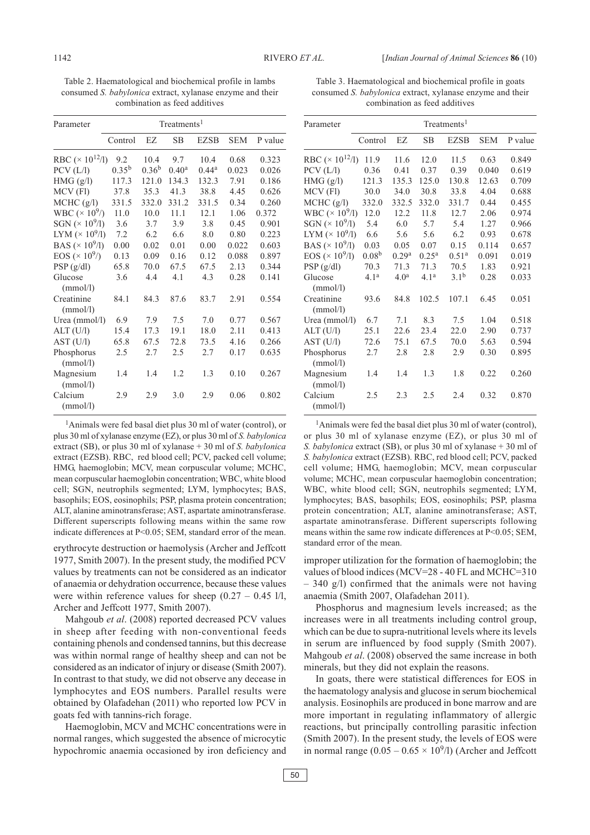Table 2. Haematological and biochemical profile in lambs consumed *S. babylonica* extract, xylanase enzyme and their combination as feed additives

| Parameter                           | Treatments <sup>1</sup> |            |                   |                   |            |         |
|-------------------------------------|-------------------------|------------|-------------------|-------------------|------------|---------|
|                                     | Control                 | EZ.        | SB                | <b>EZSB</b>       | <b>SEM</b> | P value |
| RBC ( $\times$ 10 <sup>12</sup> /l) | 9.2                     | 10.4       | 9.7               | 10.4              | 0.68       | 0.323   |
| PCV (L/l)                           | $0.35^{b}$              | $0.36^{b}$ | 0.40 <sup>a</sup> | 0.44 <sup>a</sup> | 0.023      | 0.026   |
| HMG(g/l)                            | 117.3                   | 121.0      | 134.3             | 132.3             | 7.91       | 0.186   |
| MCV (Fl)                            | 37.8                    | 35.3       | 41.3              | 38.8              | 4.45       | 0.626   |
| MCHC (g/l)                          | 331.5                   | 332.0      | 331.2             | 331.5             | 0.34       | 0.260   |
| WBC $(\times 10^9)$                 | 11.0                    | 10.0       | 11.1              | 12.1              | 1.06       | 0.372   |
| SGN $(\times 10^9/1)$               | 3.6                     | 3.7        | 3.9               | 3.8               | 0.45       | 0.901   |
| LYM $(\times 10^9/1)$               | 7.2                     | 6.2        | 6.6               | 8.0               | 0.80       | 0.223   |
| BAS ( $\times$ 10 <sup>9</sup> /l)  | 0.00                    | 0.02       | 0.01              | 0.00              | 0.022      | 0.603   |
| EOS ( $\times$ 10 <sup>9</sup> /)   | 0.13                    | 0.09       | 0.16              | 0.12              | 0.088      | 0.897   |
| PSP(g/dl)                           | 65.8                    | 70.0       | 67.5              | 67.5              | 2.13       | 0.344   |
| Glucose<br>(mmol/l)                 | 3.6                     | 4.4        | 4.1               | 4.3               | 0.28       | 0.141   |
| Creatinine<br>(mmol/l)              | 84.1                    | 84.3       | 87.6              | 83.7              | 2.91       | 0.554   |
| Urea (mmol/l)                       | 6.9                     | 7.9        | 7.5               | 7.0               | 0.77       | 0.567   |
| ALT (U/l)                           | 15.4                    | 17.3       | 19.1              | 18.0              | 2.11       | 0.413   |
| AST (U/l)                           | 65.8                    | 67.5       | 72.8              | 73.5              | 4.16       | 0.266   |
| Phosphorus<br>(mmol/l)              | 2.5                     | 2.7        | 2.5               | 2.7               | 0.17       | 0.635   |
| Magnesium<br>(mmol/l)               | 1.4                     | 1.4        | 12                | 1.3               | 0.10       | 0.267   |
| Calcium<br>(mmol/l)                 | 2.9                     | 2.9        | 3.0               | 2.9               | 0.06       | 0.802   |

1Animals were fed basal diet plus 30 ml of water (control), or plus 30 ml of xylanase enzyme (EZ), or plus 30 ml of *S. babylonica* extract (SB), or plus 30 ml of xylanase + 30 ml of *S. babylonica* extract (EZSB). RBC, red blood cell; PCV, packed cell volume; HMG, haemoglobin; MCV, mean corpuscular volume; MCHC, mean corpuscular haemoglobin concentration; WBC, white blood cell; SGN, neutrophils segmented; LYM, lymphocytes; BAS, basophils; EOS, eosinophils; PSP, plasma protein concentration; ALT, alanine aminotransferase; AST, aspartate aminotransferase. Different superscripts following means within the same row indicate differences at P<0.05; SEM, standard error of the mean.

erythrocyte destruction or haemolysis (Archer and Jeffcott 1977, Smith 2007). In the present study, the modified PCV values by treatments can not be considered as an indicator of anaemia or dehydration occurrence, because these values were within reference values for sheep  $(0.27 - 0.45 \frac{1}{l},$ Archer and Jeffcott 1977, Smith 2007).

Mahgoub *et al*. (2008) reported decreased PCV values in sheep after feeding with non-conventional feeds containing phenols and condensed tannins, but this decrease was within normal range of healthy sheep and can not be considered as an indicator of injury or disease (Smith 2007). In contrast to that study, we did not observe any decease in lymphocytes and EOS numbers. Parallel results were obtained by Olafadehan (2011) who reported low PCV in goats fed with tannins-rich forage.

Haemoglobin, MCV and MCHC concentrations were in normal ranges, which suggested the absence of microcytic hypochromic anaemia occasioned by iron deficiency and

Table 3. Haematological and biochemical profile in goats consumed *S. babylonica* extract, xylanase enzyme and their combination as feed additives

| Parameter                           | Treatments <sup>1</sup> |                   |                  |                   |            |         |
|-------------------------------------|-------------------------|-------------------|------------------|-------------------|------------|---------|
|                                     | Control                 | EZ.               | <b>SB</b>        | <b>EZSB</b>       | <b>SEM</b> | P value |
| RBC ( $\times$ 10 <sup>12</sup> /l) | 11.9                    | 11.6              | 12.0             | 11.5              | 0.63       | 0.849   |
| PCV (L/l)                           | 0.36                    | 0.41              | 0.37             | 0.39              | 0.040      | 0.619   |
| HMG (g/l)                           | 121.3                   | 135.3             | 125.0            | 130.8             | 12.63      | 0.709   |
| MCV (Fl)                            | 30.0                    | 34.0              | 30.8             | 33.8              | 4.04       | 0.688   |
| MCHC (g/l)                          | 332.0                   | 332.5             | 332.0            | 331.7             | 0.44       | 0.455   |
| WBC ( $\times$ 10 <sup>9</sup> /l)  | 12.0                    | 12.2              | 11.8             | 12.7              | 2.06       | 0.974   |
| SGN $(\times 10^9/1)$               | 5.4                     | 6.0               | 5.7              | 5.4               | 1.27       | 0.966   |
| LYM $(\times 10^9/1)$               | 6.6                     | 5.6               | 5.6              | 6.2               | 0.93       | 0.678   |
| BAS ( $\times$ 10 <sup>9</sup> /l)  | 0.03                    | 0.05              | 0.07             | 0.15              | 0.114      | 0.657   |
| EOS ( $\times$ 10 <sup>9</sup> /l)  | 0.08 <sup>b</sup>       | 0.29 <sup>a</sup> | $0.25^{\rm a}$   | 0.51 <sup>a</sup> | 0.091      | 0.019   |
| PSP(g/dl)                           | 70.3                    | 71.3              | 71.3             | 70.5              | 1.83       | 0.921   |
| Glucose<br>(mmol/l)                 | 4.1 <sup>a</sup>        | 4.0 <sup>a</sup>  | 4.1 <sup>a</sup> | 3.1 <sup>b</sup>  | 0.28       | 0.033   |
| Creatinine<br>(mmol/l)              | 93.6                    | 84.8              | 102.5            | 107.1             | 6.45       | 0.051   |
| Urea (mmol/l)                       | 6.7                     | 7.1               | 8.3              | 7.5               | 1.04       | 0.518   |
| ALT (U/l)                           | 25.1                    | 22.6              | 23.4             | 22.0              | 2.90       | 0.737   |
| AST (U/I)                           | 72.6                    | 75.1              | 67.5             | 70.0              | 5.63       | 0.594   |
| Phosphorus<br>(mmol/l)              | 2.7                     | 2.8               | 2.8              | 2.9               | 0.30       | 0.895   |
| Magnesium<br>(mmol/l)               | 1.4                     | 1.4               | 1.3              | 1.8               | 0.22       | 0.260   |
| Calcium<br>(mmol/l)                 | 2.5                     | 2.3               | 2.5              | 2.4               | 0.32       | 0.870   |

<sup>1</sup>Animals were fed the basal diet plus 30 ml of water (control), or plus 30 ml of xylanase enzyme (EZ), or plus 30 ml of *S. babylonica* extract (SB), or plus 30 ml of xylanase + 30 ml of *S. babylonica* extract (EZSB). RBC, red blood cell; PCV, packed cell volume; HMG, haemoglobin; MCV, mean corpuscular volume; MCHC, mean corpuscular haemoglobin concentration; WBC, white blood cell; SGN, neutrophils segmented; LYM, lymphocytes; BAS, basophils; EOS, eosinophils; PSP, plasma protein concentration; ALT, alanine aminotransferase; AST, aspartate aminotransferase. Different superscripts following means within the same row indicate differences at P<0.05; SEM, standard error of the mean.

improper utilization for the formation of haemoglobin; the values of blood indices (MCV=28 - 40 FL and MCHC=310 – 340 g/l) confirmed that the animals were not having anaemia (Smith 2007, Olafadehan 2011).

Phosphorus and magnesium levels increased; as the increases were in all treatments including control group, which can be due to supra-nutritional levels where its levels in serum are influenced by food supply (Smith 2007). Mahgoub *et al*. (2008) observed the same increase in both minerals, but they did not explain the reasons.

In goats, there were statistical differences for EOS in the haematology analysis and glucose in serum biochemical analysis. Eosinophils are produced in bone marrow and are more important in regulating inflammatory of allergic reactions, but principally controlling parasitic infection (Smith 2007). In the present study, the levels of EOS were in normal range  $(0.05 - 0.65 \times 10^9)$  (Archer and Jeffcott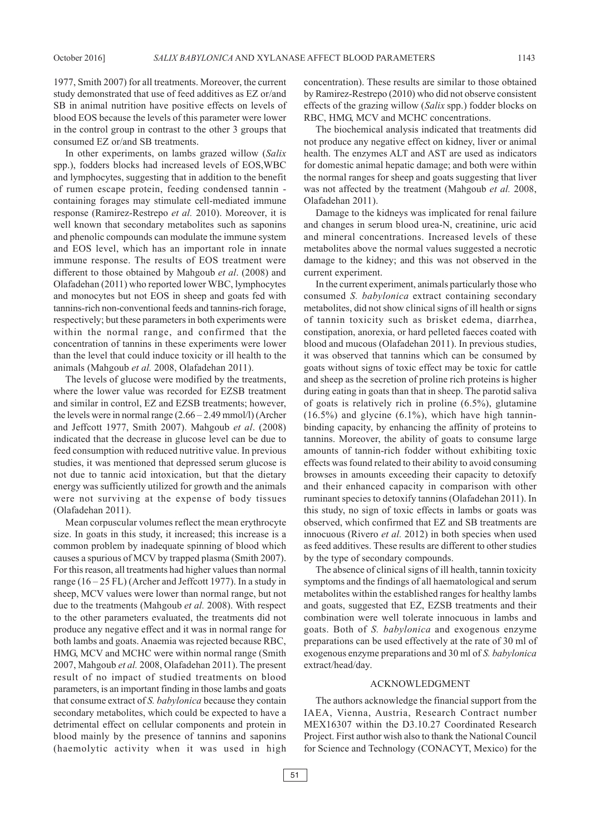1977, Smith 2007) for all treatments. Moreover, the current study demonstrated that use of feed additives as EZ or/and SB in animal nutrition have positive effects on levels of blood EOS because the levels of this parameter were lower in the control group in contrast to the other 3 groups that consumed EZ or/and SB treatments.

In other experiments, on lambs grazed willow (*Salix* spp.), fodders blocks had increased levels of EOS,WBC and lymphocytes, suggesting that in addition to the benefit of rumen escape protein, feeding condensed tannin containing forages may stimulate cell-mediated immune response (Ramirez-Restrepo *et al.* 2010). Moreover, it is well known that secondary metabolites such as saponins and phenolic compounds can modulate the immune system and EOS level, which has an important role in innate immune response. The results of EOS treatment were different to those obtained by Mahgoub *et al*. (2008) and Olafadehan (2011) who reported lower WBC, lymphocytes and monocytes but not EOS in sheep and goats fed with tannins-rich non-conventional feeds and tannins-rich forage, respectively; but these parameters in both experiments were within the normal range, and confirmed that the concentration of tannins in these experiments were lower than the level that could induce toxicity or ill health to the animals (Mahgoub *et al.* 2008, Olafadehan 2011).

The levels of glucose were modified by the treatments, where the lower value was recorded for EZSB treatment and similar in control, EZ and EZSB treatments; however, the levels were in normal range (2.66 – 2.49 mmol/l) (Archer and Jeffcott 1977, Smith 2007). Mahgoub *et al*. (2008) indicated that the decrease in glucose level can be due to feed consumption with reduced nutritive value. In previous studies, it was mentioned that depressed serum glucose is not due to tannic acid intoxication, but that the dietary energy was sufficiently utilized for growth and the animals were not surviving at the expense of body tissues (Olafadehan 2011).

Mean corpuscular volumes reflect the mean erythrocyte size. In goats in this study, it increased; this increase is a common problem by inadequate spinning of blood which causes a spurious of MCV by trapped plasma (Smith 2007). For this reason, all treatments had higher values than normal range  $(16 - 25$  FL) (Archer and Jeffcott 1977). In a study in sheep, MCV values were lower than normal range, but not due to the treatments (Mahgoub *et al.* 2008). With respect to the other parameters evaluated, the treatments did not produce any negative effect and it was in normal range for both lambs and goats. Anaemia was rejected because RBC, HMG, MCV and MCHC were within normal range (Smith 2007, Mahgoub *et al.* 2008, Olafadehan 2011). The present result of no impact of studied treatments on blood parameters, is an important finding in those lambs and goats that consume extract of *S. babylonica* because they contain secondary metabolites, which could be expected to have a detrimental effect on cellular components and protein in blood mainly by the presence of tannins and saponins (haemolytic activity when it was used in high concentration). These results are similar to those obtained by Ramirez-Restrepo (2010) who did not observe consistent effects of the grazing willow (*Salix* spp.) fodder blocks on RBC, HMG, MCV and MCHC concentrations.

The biochemical analysis indicated that treatments did not produce any negative effect on kidney, liver or animal health. The enzymes ALT and AST are used as indicators for domestic animal hepatic damage; and both were within the normal ranges for sheep and goats suggesting that liver was not affected by the treatment (Mahgoub *et al.* 2008, Olafadehan 2011).

Damage to the kidneys was implicated for renal failure and changes in serum blood urea-N, creatinine, uric acid and mineral concentrations. Increased levels of these metabolites above the normal values suggested a necrotic damage to the kidney; and this was not observed in the current experiment.

In the current experiment, animals particularly those who consumed *S. babylonica* extract containing secondary metabolites, did not show clinical signs of ill health or signs of tannin toxicity such as brisket edema, diarrhea, constipation, anorexia, or hard pelleted faeces coated with blood and mucous (Olafadehan 2011). In previous studies, it was observed that tannins which can be consumed by goats without signs of toxic effect may be toxic for cattle and sheep as the secretion of proline rich proteins is higher during eating in goats than that in sheep. The parotid saliva of goats is relatively rich in proline (6.5%), glutamine  $(16.5\%)$  and glycine  $(6.1\%)$ , which have high tanninbinding capacity, by enhancing the affinity of proteins to tannins. Moreover, the ability of goats to consume large amounts of tannin-rich fodder without exhibiting toxic effects was found related to their ability to avoid consuming browses in amounts exceeding their capacity to detoxify and their enhanced capacity in comparison with other ruminant species to detoxify tannins (Olafadehan 2011). In this study, no sign of toxic effects in lambs or goats was observed, which confirmed that EZ and SB treatments are innocuous (Rivero *et al.* 2012) in both species when used as feed additives. These results are different to other studies by the type of secondary compounds.

The absence of clinical signs of ill health, tannin toxicity symptoms and the findings of all haematological and serum metabolites within the established ranges for healthy lambs and goats, suggested that EZ, EZSB treatments and their combination were well tolerate innocuous in lambs and goats. Both of *S. babylonica* and exogenous enzyme preparations can be used effectively at the rate of 30 ml of exogenous enzyme preparations and 30 ml of *S. babylonica* extract/head/day.

# ACKNOWLEDGMENT

The authors acknowledge the financial support from the IAEA, Vienna, Austria, Research Contract number MEX16307 within the D3.10.27 Coordinated Research Project. First author wish also to thank the National Council for Science and Technology (CONACYT, Mexico) for the